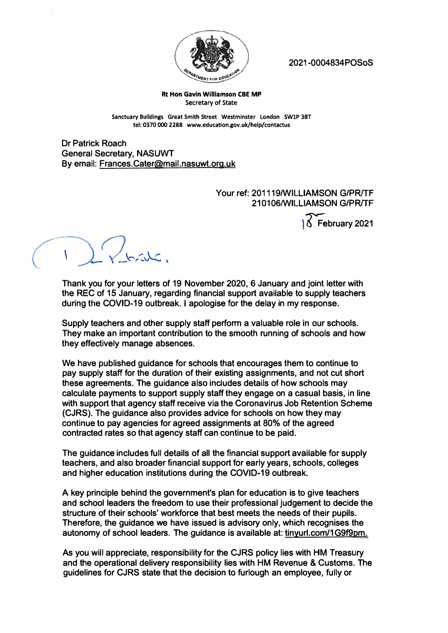

**2021 -0004834POSoS** 

## **Rt Hon Gavin Williamson CBE MP Secretary of State**

**Sanctuary Buildings Great Smith Street Westminster London SWlP 3BT tel: 0370 000 2288 www.education.gov.uk/help/contactus** 

**Dr Patrick Roach General Secretary, NASUWT By email: Frances.Cater@mail.nasuwt.org.uk** 

## **Your ref: 201119/WILLIAMSON G/PR/TF 210106/WILLIAMSON G/PR/TF**  February 2021

 $rac{1}{\sqrt{2}}$ 

**Thank you for your letters of 19 November 2020, 6 January and joint letter with the REC of 15 January, regarding financial support available to supply teachers during the COVID-19 outbreak. I apologise for the delay in my response.** 

**Supply teachers and other supply staff perform a valuable role in our schools. They make an important contribution to the smooth running of schools and how they effectively manage absences.** 

**We have published guidance for schools that encourages them to continue to pay supply staff for the duration of their existing assignments, and not cut short these agreements. The guidance also includes details of how schools may calculate payments to support supply staff they engage on a casual basis, in line with support that agency staff receive via the Coronavirus Job Retention Scheme (CJRS). The guidance also provides advice for schools on how they may continue to pay agencies for agreed assignments at 80% of the agreed contracted rates so that agency staff can continue to be paid.** 

**The guidance includes full details of all the financial support available for supply teachers, and also broader financial support for early years, schools, colleges and higher education institutions during the COVID-19 outbreak.** 

**A key principle behind the government's plan for education is to give teachers and school leaders the freedom to use their professional judgement to decide the structure of their schools' workforce that best meets the needs of their pupils. Therefore, the guidance we have issued is advisory only, which recognises the autonomy of school leaders. The guidance is available at: tinyurl.com/1 G9f9pm.** 

**As you will appreciate, responsibility for the CJRS policy lies with HM Treasury and the operational delivery responsibility lies with HM Revenue & Customs. The guidelines for CJRS state that the decision to furlough an employee, fully or**